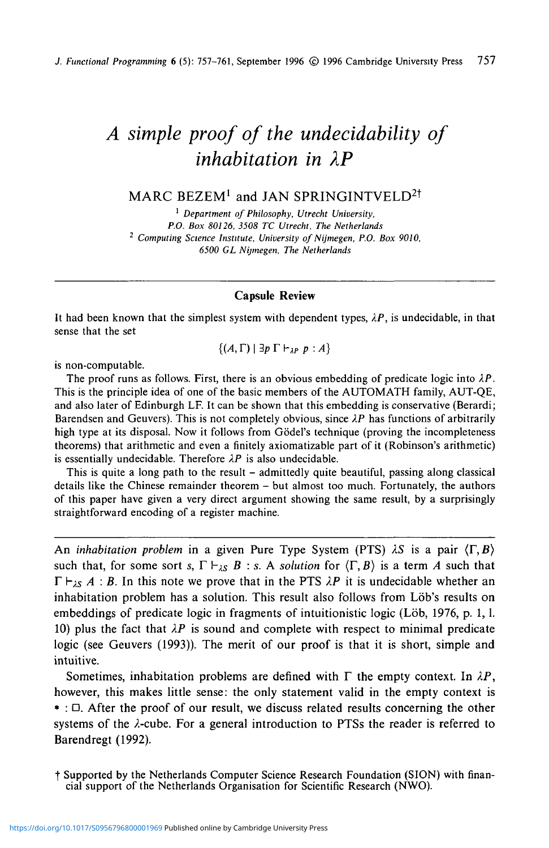# *A simple proof of the undecidability of inhabitation in XP*

# $\mathsf{MARC}\ \mathsf{BEZEM}^1$  and JAN SPRINGINTVELD $^{2\dagger}$

1  *Department of Philosophy, Utrecht University, P.O. Box 80126, 3508 TC Utrecht, The Netherlands 2 Computing Science Institute, University of Nijmegen, P.O. Box 9010, 6500 GL Nijmegen, The Netherlands*

#### **Capsule Review**

It had been known that the simplest system with dependent types,  $\lambda P$ , is undecidable, in that sense that the set

 $\{(A, \Gamma) | \exists p \Gamma \vdash_{IP} p:A\}$ 

is non-computable.

The proof runs as follows. First, there is an obvious embedding of predicate logic into *XP.* This is the principle idea of one of the basic members of the AUTOMATH family, AUT-QE, and also later of Edinburgh LF. It can be shown that this embedding is conservative (Berardi; Barendsen and Geuvers). This is not completely obvious, since *XP* has functions of arbitrarily high type at its disposal. Now it follows from Gödel's technique (proving the incompleteness theorems) that arithmetic and even a finitely axiomatizable part of it (Robinson's arithmetic) is essentially undecidable. Therefore  $\lambda P$  is also undecidable.

This is quite a long path to the result - admittedly quite beautiful, passing along classical details like the Chinese remainder theorem - but almost too much. Fortunately, the authors of this paper have given a very direct argument showing the same result, by a surprisingly straightforward encoding of a register machine.

An *inhabitation problem* in a given Pure Type System (PTS)  $\lambda S$  is a pair  $\langle \Gamma, B \rangle$ such that, for some sort *s*,  $\Gamma \vdash_{\lambda S} B : s$ . A *solution* for  $\langle \Gamma, B \rangle$  is a term *A* such that  $\Gamma \vdash_{\lambda S} A : B$ . In this note we prove that in the PTS  $\lambda P$  it is undecidable whether an inhabitation problem has a solution. This result also follows from Löb's results on embeddings of predicate logic in fragments of intuitionistic logic (Löb, 1976, p. 1, l. 10) plus the fact that  $\lambda P$  is sound and complete with respect to minimal predicate logic (see Geuvers (1993)). The merit of our proof is that it is short, simple and intuitive.

Sometimes, inhabitation problems are defined with  $\Gamma$  the empty context. In  $\lambda P$ , however, this makes little sense: the only statement valid in the empty context is \* : D. After the proof of our result, we discuss related results concerning the other systems of the  $\lambda$ -cube. For a general introduction to PTSs the reader is referred to Barendregt (1992).

f Supported by the Netherlands Computer Science Research Foundation (SION) with financial support of the Netherlands Organisation for Scientific Research (NWO).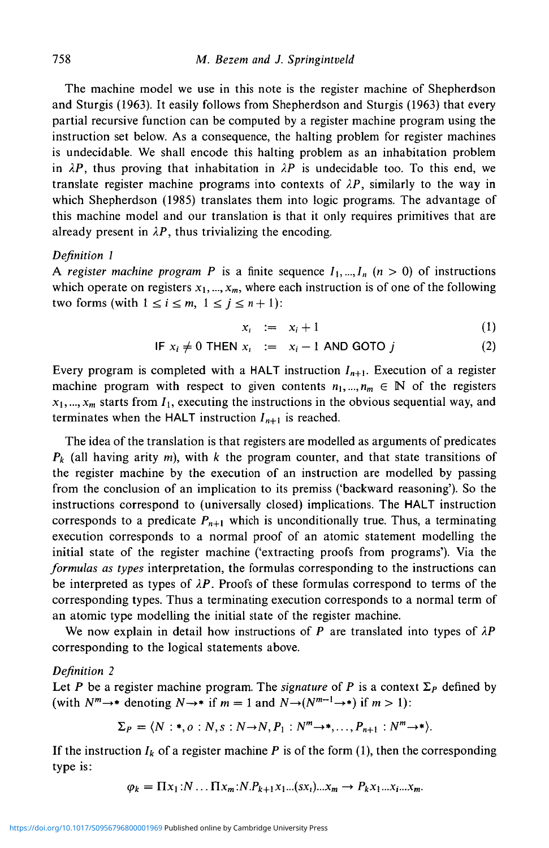The machine model we use in this note is the register machine of Shepherdson and Sturgis (1963). It easily follows from Shepherdson and Sturgis (1963) that every partial recursive function can be computed by a register machine program using the instruction set below. As a consequence, the halting problem for register machines is undecidable. We shall encode this halting problem as an inhabitation problem in  $\lambda P$ , thus proving that inhabitation in  $\lambda P$  is undecidable too. To this end, we translate register machine programs into contexts of  $\lambda P$ , similarly to the way in which Shepherdson (1985) translates them into logic programs. The advantage of this machine model and our translation is that it only requires primitives that are already present in  $\lambda P$ , thus trivializing the encoding.

#### *Definition I*

A register machine program P is a finite sequence  $I_1, \ldots, I_n$  ( $n > 0$ ) of instructions which operate on registers  $x_1, ..., x_m$ , where each instruction is of one of the following two forms (with  $1 \le i \le m$ ,  $1 \le j \le n+1$ ):

$$
x_i \quad := \quad x_i + 1 \tag{1}
$$

$$
\text{IF } x_i \neq 0 \text{ THEN } x_i \quad := \quad x_i - 1 \text{ AND GOTO } j \tag{2}
$$

Every program is completed with a HALT instruction *In+i.* Execution of a register machine program with respect to given contents  $n_1, ..., n_m \in \mathbb{N}$  of the registers  $x_1, ..., x_m$  starts from  $I_1$ , executing the instructions in the obvious sequential way, and terminates when the HALT instruction  $I_{n+1}$  is reached.

The idea of the translation is that registers are modelled as arguments of predicates *Pk* (all having arity m), with *k* the program counter, and that state transitions of the register machine by the execution of an instruction are modelled by passing from the conclusion of an implication to its premiss ('backward reasoning'). So the instructions correspond to (universally closed) implications. The HALT instruction corresponds to a predicate  $P_{n+1}$  which is unconditionally true. Thus, a terminating execution corresponds to a normal proof of an atomic statement modelling the initial state of the register machine ('extracting proofs from programs'). Via the *formulas as types* interpretation, the formulas corresponding to the instructions can be interpreted as types of  $\lambda P$ . Proofs of these formulas correspond to terms of the corresponding types. Thus a terminating execution corresponds to a normal term of an atomic type modelling the initial state of the register machine.

We now explain in detail how instructions of *P* are translated into types of *XP* corresponding to the logical statements above.

#### *Definition 2*

Let P be a register machine program. The *signature* of P is a context  $\Sigma_P$  defined by (with  $N^m \rightarrow^*$  denoting  $N \rightarrow^*$  if  $m = 1$  and  $N \rightarrow (N^{m-1} \rightarrow^*)$  if  $m > 1$ ):

$$
\Sigma_P = \langle N : *, o : N, s : N \rightarrow N, P_1 : N^m \rightarrow *, \dots, P_{n+1} : N^m \rightarrow * \rangle.
$$

If the instruction  $I_k$  of a register machine P is of the form (1), then the corresponding type is:

$$
\varphi_k = \Pi x_1 : N \dots \Pi x_m : N.P_{k+1} x_1 \dots (s x_i) \dots x_m \to P_k x_1 \dots x_i \dots x_m.
$$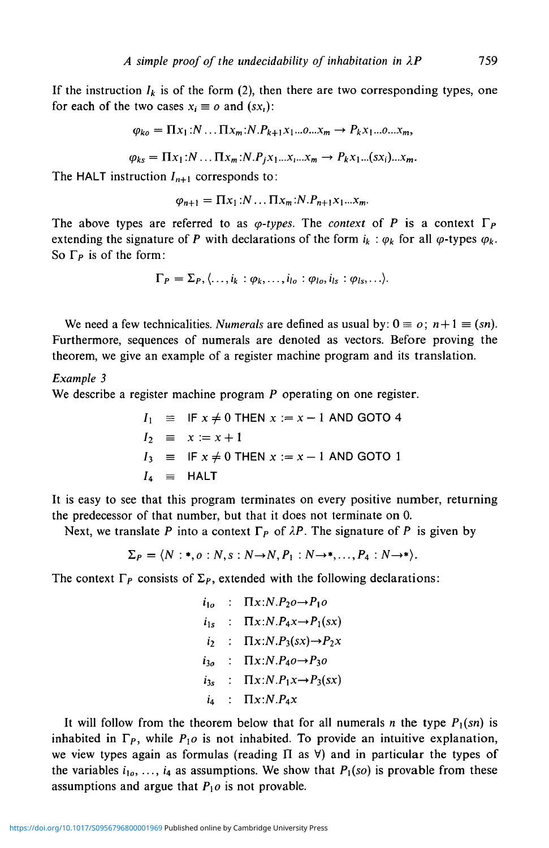If the instruction  $I_k$  is of the form (2), then there are two corresponding types, one for each of the two cases  $x_i \equiv o$  and  $(sx_i)$ :

$$
\varphi_{ko} = \Pi x_1 : N \dots \Pi x_m : N.P_{k+1} x_1 \dots 0 \dots x_m \rightarrow P_k x_1 \dots 0 \dots x_m,
$$

 $\varphi_{ks} = \prod x_1 : N \dots \prod x_m : N \cdot P_i x_1 \dots x_n \rightarrow P_k x_1 \dots (sx_i) \dots x_m$ .

The HALT instruction  $I_{n+1}$  corresponds to:

$$
\varphi_{n+1} = \Pi x_1 : N \dots \Pi x_m : N.P_{n+1}x_1 \dots x_m.
$$

The above types are referred to as  $\varphi$ -types. The *context* of *P* is a context  $\Gamma_P$ extending the signature of P with declarations of the form  $i_k : \varphi_k$  for all  $\varphi$ -types  $\varphi_k$ . So  $\Gamma_P$  is of the form:

$$
\Gamma_P = \Sigma_P, \langle \ldots, i_k : \varphi_k, \ldots, i_{lo} : \varphi_{lo}, i_{ls} : \varphi_{ls}, \ldots \rangle.
$$

We need a few technicalities. *Numerals* are defined as usual by:  $0 \equiv o$ ;  $n+1 \equiv (sn)$ . Furthermore, sequences of numerals are denoted as vectors. Before proving the theorem, we give an example of a register machine program and its translation.

#### *Example 3*

We describe a register machine program P operating on one register.

$$
I_1 \equiv IF x \neq 0 \text{ THEN } x := x - 1 \text{ AND GOTO 4}
$$
  
\n
$$
I_2 \equiv x := x + 1
$$
  
\n
$$
I_3 \equiv IF x \neq 0 \text{ THEN } x := x - 1 \text{ AND GOTO 1}
$$
  
\n
$$
I_4 \equiv HALT
$$

It is easy to see that this program terminates on every positive number, returning the predecessor of that number, but that it does not terminate on 0.

Next, we translate P into a context  $\Gamma_P$  of  $\lambda P$ . The signature of P is given by

$$
\Sigma_P = \langle N : *, o : N, s : N \rightarrow N, P_1 : N \rightarrow *, ..., P_4 : N \rightarrow * \rangle.
$$

The context  $\Gamma_P$  consists of  $\Sigma_P$ , extended with the following declarations:

$$
i_{1o} : \Pi x : N.P_2o \rightarrow P_1o
$$
  
\n
$$
i_{1s} : \Pi x : N.P_4x \rightarrow P_1(sx)
$$
  
\n
$$
i_2 : \Pi x : N.P_3(sx) \rightarrow P_2x
$$
  
\n
$$
i_{3o} : \Pi x : N.P_4o \rightarrow P_3o
$$
  
\n
$$
i_{3s} : \Pi x : N.P_1x \rightarrow P_3(sx)
$$
  
\n
$$
i_4 : \Pi x : N.P_4x
$$

It will follow from the theorem below that for all numerals *n* the type  $P_1(sn)$  is inhabited in  $\Gamma_P$ , while  $P_1$ *o* is not inhabited. To provide an intuitive explanation, we view types again as formulas (reading  $\Pi$  as  $\forall$ ) and in particular the types of the variables  $i_1$ <sub>o</sub>, ...,  $i_4$  as assumptions. We show that  $P_1$ (so) is provable from these assumptions and argue that  $P_1$ o is not provable.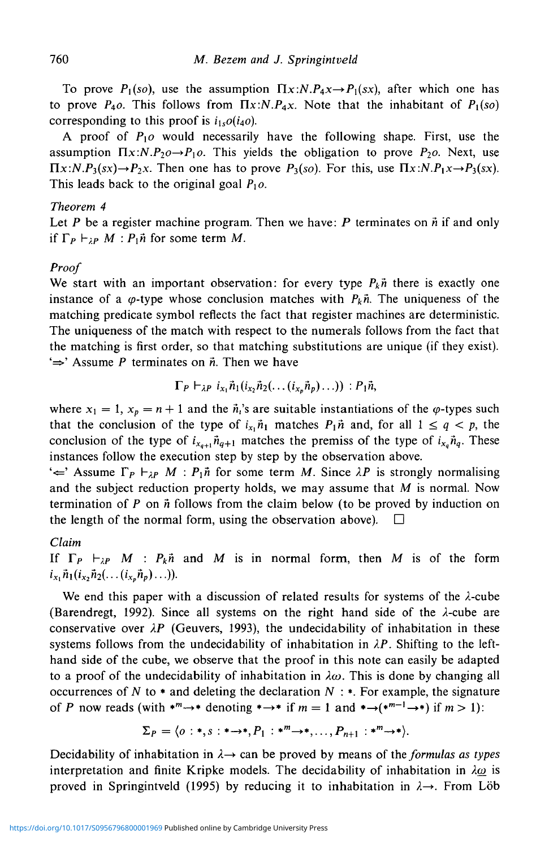To prove  $P_1(s_0)$ , use the assumption  $\prod x : N.P_4x \rightarrow P_1(sx)$ , after which one has to prove  $P_4$ *o*. This follows from  $\Pi x$ : $N.P_4x$ . Note that the inhabitant of  $P_1$ (s*o*) corresponding to this proof is  $i_1 \circ o(i_4 o)$ .

A proof of  $P_1$ o would necessarily have the following shape. First, use the assumption  $\Pi x:N.P_2o\rightarrow P_1o$ . This yields the obligation to prove  $P_2o$ . Next, use  $\Pi x:N.P_3(sx) \rightarrow P_2x$ . Then one has to prove  $P_3(so)$ . For this, use  $\Pi x:N.P_1x \rightarrow P_3(sx)$ . This leads back to the original goal  $P_1$ o.

# *Theorem 4*

Let P be a register machine program. Then we have: P terminates on  $\vec{n}$  if and only if  $\Gamma_P \vdash_{\lambda P} M : P_1 \hat{n}$  for some term *M*.

# *Proof*

We start with an important observation: for every type  $P_k \vec{n}$  there is exactly one instance of a  $\varphi$ -type whose conclusion matches with  $P_k\vec{n}$ . The uniqueness of the matching predicate symbol reflects the fact that register machines are deterministic. The uniqueness of the match with respect to the numerals follows from the fact that the matching is first order, so that matching substitutions are unique (if they exist).  $\Rightarrow$  Assume P terminates on  $\vec{n}$ . Then we have

$$
\Gamma_P \vdash_{\lambda P} i_{x_1} \vec{n}_1(i_{x_2} \vec{n}_2(\ldots (i_{x_p} \vec{n}_p) \ldots)) : P_1 \vec{n},
$$

where  $x_1 = 1$ ,  $x_p = n + 1$  and the  $\vec{n}_i$ 's are suitable instantiations of the  $\varphi$ -types such that the conclusion of the type of  $i_{x_1}\tilde{n}_1$  matches  $P_1\tilde{n}$  and, for all  $1 \leq q < p$ , the conclusion of the type of  $i_{x_{q+1}}\vec{n}_{q+1}$  matches the premiss of the type of  $i_{x_q}\vec{n}_q$ . These instances follow the execution step by step by the observation above.

 $\leftarrow$  Assume  $\Gamma_P \vdash_{\lambda P} M : P_1 \hat{n}$  for some term *M*. Since  $\lambda P$  is strongly normalising and the subject reduction property holds, we may assume that *M* is normal. Now termination of P on *h* follows from the claim below (to be proved by induction on the length of the normal form, using the observation above).  $\Box$ 

# *Claim*

If  $\Gamma_P$   $\vdash_{\lambda P} M$  :  $P_k \ddot{n}$  and M is in normal form, then M is of the form  $i_{x_1} \vec{n}_1 (i_x, \vec{n}_2 (\ldots (i_{x_n} \vec{n}_p) \ldots)).$ 

We end this paper with a discussion of related results for systems of the  $\lambda$ -cube (Barendregt, 1992). Since all systems on the right hand side of the  $\lambda$ -cube are conservative over *XP* (Geuvers, 1993), the undecidability of inhabitation in these systems follows from the undecidability of inhabitation in  $\lambda P$ . Shifting to the lefthand side of the cube, we observe that the proof in this note can easily be adapted to a proof of the undecidability of inhabitation in  $\lambda \omega$ . This is done by changing all occurrences of  $N$  to  $*$  and deleting the declaration  $N : *$ . For example, the signature of *P* now reads (with  $*^{m} \rightarrow *$  denoting  $* \rightarrow *$  if  $m = 1$  and  $* \rightarrow (*^{m-1} \rightarrow *)$  if  $m > 1$ ):

$$
\Sigma_P = \langle o:*, s: * \rightarrow *, P_1: *^m \rightarrow *, \ldots, P_{n+1}: *^m \rightarrow * \rangle.
$$

Decidability of inhabitation in  $\lambda \rightarrow$  can be proved by means of the *formulas as types* interpretation and finite Kripke models. The decidability of inhabitation in  $\lambda \omega$  is proved in Springintveld (1995) by reducing it to inhabitation in  $\lambda \rightarrow$ . From Löb